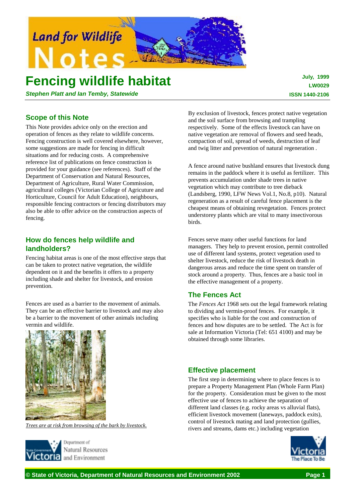

# **Fencing wildlife habitat**

*Stephen Platt and Ian Temby, Statewide*

**July, 1999 LW0029 ISSN 1440-2106**

# **Scope of this Note**

This Note provides advice only on the erection and operation of fences as they relate to wildlife concerns. Fencing construction is well covered elsewhere, however, some suggestions are made for fencing in difficult situations and for reducing costs. A comprehensive reference list of publications on fence construction is provided for your guidance (see references). Staff of the Department of Conservation and Natural Resources, Department of Agriculture, Rural Water Commission, agricultural colleges (Victorian College of Agricuture and Horticulture, Council for Adult Education), neighbours, responsible fencing contractors or fencing distributors may also be able to offer advice on the construction aspects of fencing.

# **How do fences help wildlife and landholders?**

Fencing habitat areas is one of the most effective steps that can be taken to protect native vegetation, the wildlife dependent on it and the benefits it offers to a property including shade and shelter for livestock, and erosion prevention.

Fences are used as a barrier to the movement of animals. They can be an effective barrier to livestock and may also be a barrier to the movement of other animals including vermin and wildlife.



*Trees are at risk from browsing of the bark by livestock.*



By exclusion of livestock, fences protect native vegetation and the soil surface from browsing and trampling respectively. Some of the effects livestock can have on native vegetation are removal of flowers and seed heads, compaction of soil, spread of weeds, destruction of leaf and twig litter and prevention of natural regeneration .

A fence around native bushland ensures that livestock dung remains in the paddock where it is useful as fertilizer. This prevents accumulation under shade trees in native vegetation which may contribute to tree dieback (Landsberg, 1990, LFW News Vol.1, No.8, p10). Natural regeneration as a result of careful fence placement is the cheapest means of obtaining revegetation. Fences protect understorey plants which are vital to many insectivorous birds.

Fences serve many other useful functions for land managers. They help to prevent erosion, permit controlled use of different land systems, protect vegetation used to shelter livestock, reduce the risk of livestock death in dangerous areas and reduce the time spent on transfer of stock around a property. Thus, fences are a basic tool in the effective management of a property.

# **The Fences Act**

The *Fences Act* 1968 sets out the legal framework relating to dividing and vermin-proof fences. For example, it specifies who is liable for the cost and construction of fences and how disputes are to be settled. The Act is for sale at Information Victoria (Tel: 651 4100) and may be obtained through some libraries.

# **Effective placement**

The first step in determining where to place fences is to prepare a Property Management Plan (Whole Farm Plan) for the property. Consideration must be given to the most effective use of fences to achieve the separation of different land classes (e.g. rocky areas vs alluvial flats), efficient livestock movement (laneways, paddock exits), control of livestock mating and land protection (gullies, rivers and streams, dams etc.) including vegetation

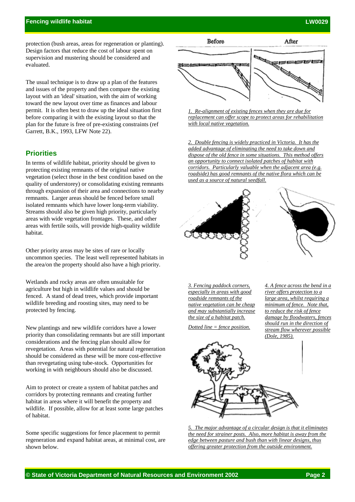protection (bush areas, areas for regeneration or planting). Design factors that reduce the cost of labour spent on supervision and mustering should be considered and evaluated.

The usual technique is to draw up a plan of the features and issues of the property and then compare the existing layout with an 'ideal' situation, with the aim of working toward the new layout over time as finances and labour permit. It is often best to draw up the ideal situation first before comparing it with the existing layout so that the plan for the future is free of pre-existing constraints (ref Garrett, B.K., 1993, LFW Note 22).

# **Priorities**

In terms of wildlife habitat, priority should be given to protecting existing remnants of the original native vegetation (select those in the best condition based on the quality of understorey) or consolidating existing remnants through expansion of their area and connections to nearby remnants. Larger areas should be fenced before small isolated remnants which have lower long-term viability. Streams should also be given high priority, particularly areas with wide vegetation frontages. These, and other areas with fertile soils, will provide high-quality wildlife habitat.

Other priority areas may be sites of rare or locally uncommon species. The least well represented habitats in the area/on the property should also have a high priority.

Wetlands and rocky areas are often unsuitable for agriculture but high in wildlife values and should be fenced. A stand of dead trees, which provide important wildlife breeding and roosting sites, may need to be protected by fencing.

New plantings and new wildlife corridors have a lower priority than consolidating remnants but are still important considerations and the fencing plan should allow for revegetation. Areas with potential for natural regeneration should be considered as these will be more cost-effective than revegetating using tube-stock. Opportunities for working in with neighbours should also be discussed.

Aim to protect or create a system of habitat patches and corridors by protecting remnants and creating further habitat in areas where it will benefit the property and wildlife. If possible, allow for at least some large patches of habitat.

Some specific suggestions for fence placement to permit regeneration and expand habitat areas, at minimal cost, are shown below.



*1. Re-alignment of existing fences when they are due for replacement can offer scope to protect areas for rehabilitation with local native vegetation.*

*2. Double fencing is widely practiced in Victoria. It has the added advantage of eliminating the need to take down and dispose of the old fence in some situations. This method offers an opportunity to connect isolated patches of habitat with corridors. Particularly valuable when the adjacent area (e.g. roadside) has good remnants of the native flora which can be used as a source of natural seedfall.*





*3. Fencing paddock corners, especially in areas with good roadside remnants of the native vegetation can be cheap and may substantially increase the size of a habitat patch.*

*Dotted line = fence position.*

*4. A fence across the bend in a river offers protection to a large area, whilst requiring a minimum of fence. Note that, to reduce the risk of fence damage by floodwaters, fences should run in the direction of stream flow wherever possible (Dole, 1985).*



*5. The major advantage of a circular design is that it eliminates the need for strainer posts. Also, more habitat is away from the edge between pasture and bush than with linear designs, thus offering greater protection from the outside environment.*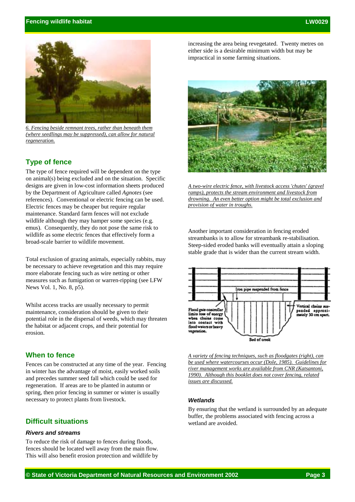

*6. Fencing beside remnant trees, rather than beneath them (where seedlings may be suppressed), can allow for natural regeneration.*

# **Type of fence**

The type of fence required will be dependent on the type on animal(s) being excluded and on the situation. Specific designs are given in low-cost information sheets produced by the Department of Agriculture called *Agnotes* (see references). Conventional or electric fencing can be used. Electric fences may be cheaper but require regular maintenance. Standard farm fences will not exclude wildlife although they may hamper some species (e.g. emus). Consequently, they do not pose the same risk to wildlife as some electric fences that effectively form a broad-scale barrier to wildlife movement.

Total exclusion of grazing animals, especially rabbits, may be necessary to achieve revegetation and this may require more elaborate fencing such as wire netting or other measures such as fumigation or warren-ripping (see LFW News Vol. 1, No. 8, p5).

Whilst access tracks are usually necessary to permit maintenance, consideration should be given to their potential role in the dispersal of weeds, which may threaten the habitat or adjacent crops, and their potential for erosion.

# **When to fence**

Fences can be constructed at any time of the year. Fencing in winter has the advantage of moist, easily worked soils and precedes summer seed fall which could be used for regeneration. If areas are to be planted in autumn or spring, then prior fencing in summer or winter is usually necessary to protect plants from livestock.

# **Difficult situations**

#### *Rivers and streams*

To reduce the risk of damage to fences during floods, fences should be located well away from the main flow. This will also benefit erosion protection and wildlife by increasing the area being revegetated. Twenty metres on either side is a desirable minimum width but may be impractical in some farming situations.



*A two-wire electric fence, with livestock access 'chutes' (gravel ramps), protects the stream environment and livestock from drowning. An even better option might be total exclusion and provision of water in troughs.*

Another important consideration in fencing eroded streambanks is to allow for streambank re-stabilisation. Steep-sided eroded banks will eventually attain a sloping stable grade that is wider than the current stream width.



*A variety of fencing techniques, such as floodgates (right), can be used where watercourses occur (Dole, 1985). Guidelines for river management works are available from CNR (Katsantoni, 1990). Although this booklet does not cover fencing, related issues are discussed.*

#### *Wetlands*

By ensuring that the wetland is surrounded by an adequate buffer, the problems associated with fencing across a wetland are avoided.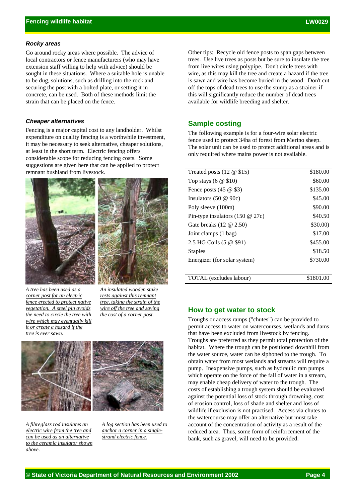#### *Rocky areas*

Go around rocky areas where possible. The advice of local contractors or fence manufacturers (who may have extension staff willing to help with advice) should be sought in these situations. Where a suitable hole is unable to be dug, solutions, such as drilling into the rock and securing the post with a bolted plate, or setting it in concrete, can be used. Both of these methods limit the strain that can be placed on the fence.

#### *Cheaper alternatives*

Fencing is a major capital cost to any landholder. Whilst expenditure on quality fencing is a worthwhile investment, it may be necessary to seek alternative, cheaper solutions, at least in the short term. Electric fencing offers considerable scope for reducing fencing costs. Some suggestions are given here that can be applied to protect remnant bushland from livestock.





*A tree has been used as a corner post for an electric fence erected to protect native vegetation. A steel pin avoids the need to circle the tree with wire which may eventually kill it or create a hazard if the tree is ever sawn.*

*An insulated wooden stake rests against this remnant tree, taking the strain of the wire off the tree and saving the cost of a corner post.*



*A fibreglass rod insulates an electric wire from the tree and can be used as an alternative to the ceramic insulator shown above.*

*A log section has been used to anchor a corner in a singlestrand electric fence.*

Other tips: Recycle old fence posts to span gaps between trees. Use live trees as posts but be sure to insulate the tree from live wires using polypipe. Don't circle trees with wire, as this may kill the tree and create a hazard if the tree is sawn and wire has become buried in the wood. Don't cut off the tops of dead trees to use the stump as a strainer if this will significantly reduce the number of dead trees available for wildlife breeding and shelter.

## **Sample costing**

The following example is for a four-wire solar electric fence used to protect 34ha of forest from Merino sheep. The solar unit can be used to protect additional areas and is only required where mains power is not available.

| Treated posts $(12 \& 15)$         | \$180.00  |
|------------------------------------|-----------|
| Top stays $(6 \otimes $10)$        | \$60.00   |
| Fence posts $(45 \& $ \$3)         | \$135.00  |
| Insulators $(50 \& 90c)$           | \$45.00   |
| Poly sleeve (100m)                 | \$90.00   |
| Pin-type insulators $(150 \& 27c)$ | \$40.50   |
| Gate breaks $(12 \t@ 2.50)$        | \$30.00)  |
| Joint clamps (1 bag)               | \$17.00   |
| 2.5 HG Coils (5 @ \$91)            | \$455.00  |
| <b>Staples</b>                     | \$18.50   |
| Energizer (for solar system)       | \$730.00  |
|                                    |           |
| TOTAL (excludes labour)            | \$1801.00 |
|                                    |           |

## **How to get water to stock**

Troughs or access ramps ("chutes") can be provided to permit access to water on watercourses, wetlands and dams that have been excluded from livestock by fencing. Troughs are preferred as they permit total protection of the habitat. Where the trough can be positioned downhill from the water source, water can be siphoned to the trough. To obtain water from most wetlands and streams will require a pump. Inexpensive pumps, such as hydraulic ram pumps which operate on the force of the fall of water in a stream, may enable cheap delivery of water to the trough. The costs of establishing a trough system should be evaluated against the potential loss of stock through drowning, cost of erosion control, loss of shade and shelter and loss of wildlife if exclusion is not practised. Access via chutes to the watercourse may offer an alternative but must take account of the concentration of activity as a result of the reduced area. Thus, some form of reinforcement of the bank, such as gravel, will need to be provided.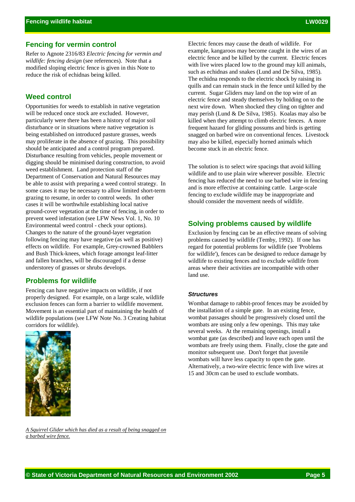Refer to Agnote 2316/83 *Electric fencing for vermin and wildlife: fencing design* (see references). Note that a modified sloping electric fence is given in this Note to reduce the risk of echidnas being killed.

## **Weed control**

Opportunities for weeds to establish in native vegetation will be reduced once stock are excluded. However, particularly were there has been a history of major soil disturbance or in situations where native vegetation is being established on introduced pasture grasses, weeds may proliferate in the absence of grazing. This possibility should be anticipated and a control program prepared. Disturbance resulting from vehicles, people movement or digging should be minimised during construction, to avoid weed establishment. Land protection staff of the Department of Conservation and Natural Resources may be able to assist with preparing a weed control strategy. In some cases it may be necessary to allow limited short-term grazing to resume, in order to control weeds. In other cases it will be worthwhile establishing local native ground-cover vegetation at the time of fencing, in order to prevent weed infestation (see LFW News Vol. 1, No. 10 Environmental weed control - check your options). Changes to the nature of the ground-layer vegetation following fencing may have negative (as well as positive) effects on wildlife. For example, Grey-crowned Babblers and Bush Thick-knees, which forage amongst leaf-litter and fallen branches, will be discouraged if a dense understorey of grasses or shrubs develops.

## **Problems for wildlife**

Fencing can have negative impacts on wildlife, if not properly designed. For example, on a large scale, wildlife exclusion fences can form a barrier to wildlife movement. Movement is an essential part of maintaining the health of wildlife populations (see LFW Note No. 3 Creating habitat corridors for wildlife).



Electric fences may cause the death of wildlife. For example, kangaroos may become caught in the wires of an electric fence and be killed by the current. Electric fences with live wires placed low to the ground may kill animals, such as echidnas and snakes (Lund and De Silva, 1985). The echidna responds to the electric shock by raising its quills and can remain stuck in the fence until killed by the current. Sugar Gliders may land on the top wire of an electric fence and steady themselves by holding on to the next wire down. When shocked they cling on tighter and may perish (Lund & De Silva, 1985). Koalas may also be killed when they attempt to climb electric fences. A more frequent hazard for gliding possums and birds is getting snagged on barbed wire on conventional fences. Livestock may also be killed, especially horned animals which become stuck in an electric fence.

The solution is to select wire spacings that avoid killing wildlife and to use plain wire wherever possible. Electric fencing has reduced the need to use barbed wire in fencing and is more effective at containing cattle. Large-scale fencing to exclude wildlife may be inappropriate and should consider the movement needs of wildlife.

## **Solving problems caused by wildlife**

Exclusion by fencing can be an effective means of solving problems caused by wildlife (Temby, 1992). If one has regard for potential problems for wildlife (see 'Problems for wildlife'), fences can be designed to reduce damage by wildlife to existing fences and to exclude wildlife from areas where their activities are incompatible with other land use.

#### *Structures*

Wombat damage to rabbit-proof fences may be avoided by the installation of a simple gate. In an existing fence, wombat passages should be progressively closed until the wombats are using only a few openings. This may take several weeks. At the remaining openings, install a wombat gate (as described) and leave each open until the wombats are freely using them. Finally, close the gate and monitor subsequent use. Don't forget that juvenile wombats will have less capacity to open the gate. Alternatively, a two-wire electric fence with live wires at 15 and 30cm can be used to exclude wombats.

*A Squirrel Glider which has died as a result of being snagged on a barbed wire fence.*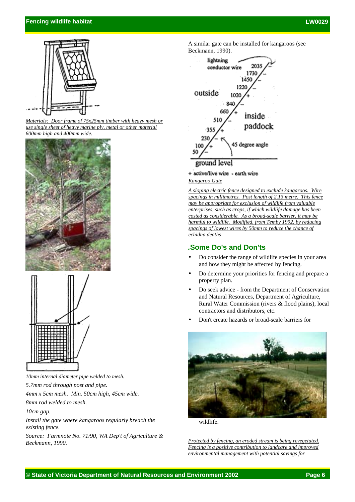## **Fencing wildlife habitat LW0029**



*Materials: Door frame of 75x25mm timber with heavy mesh or use single sheet of heavy marine ply, metal or other material 600mm high and 400mm wide.*





*10mm internal diameter pipe welded to mesh.*

*5.7mm rod through post and pipe.*

*4mm x 5cm mesh. Min. 50cm high, 45cm wide.*

*8mm rod welded to mesh.*

*10cm gap.*

*Install the gate where kangaroos regularly breach the existing fence.*

*Source: Farmnote No. 71/90, WA Dep't of Agriculture & Beckmann, 1990.*

A similar gate can be installed for kangaroos (see Beckmann, 1990).



## + active/live wire - earth wire

*Kangaroo Gate*

*A sloping electric fence designed to exclude kangaroos. Wire spacings in millimetres. Post length of 2.13 metre. This fence may be appropriate for exclusion of wildlife from valuable enterprises, such as crops, if which wildlife damage has been costed as considerable. As a broad-scale barrier, it may be harmful to wildlife. Modified, from Temby 1992, by reducing spacings of lowest wires by 50mm to reduce the chance of echidna deaths*

# *.***Some Do's and Don'ts**

- Do consider the range of wildlife species in your area and how they might be affected by fencing.
- Do determine your priorities for fencing and prepare a property plan.
- Do seek advice from the Department of Conservation and Natural Resources, Department of Agriculture, Rural Water Commission (rivers & flood plains), local contractors and distributors, etc.
- Don't create hazards or broad-scale barriers for



wildlife.

*Protected by fencing, an eroded stream is being revegetated. Fencing is a positive contribution to landcare and improved environmental management with potential savings for*